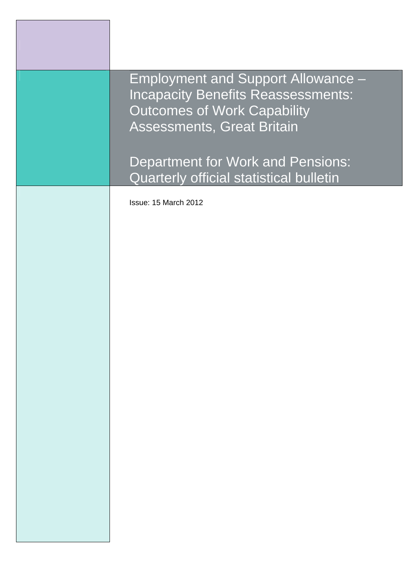| <b>Employment and Support Allowance -</b><br><b>Incapacity Benefits Reassessments:</b><br><b>Outcomes of Work Capability</b><br><b>Assessments, Great Britain</b> |
|-------------------------------------------------------------------------------------------------------------------------------------------------------------------|
| <b>Department for Work and Pensions:</b><br>Quarterly official statistical bulletin                                                                               |
| Issue: 15 March 2012                                                                                                                                              |
|                                                                                                                                                                   |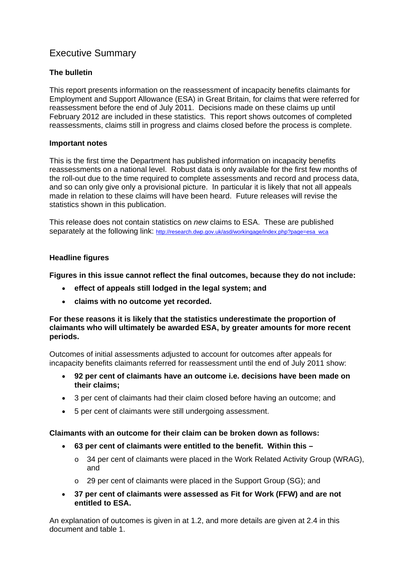# Executive Summary

## **The bulletin**

This report presents information on the reassessment of incapacity benefits claimants for Employment and Support Allowance (ESA) in Great Britain, for claims that were referred for reassessment before the end of July 2011. Decisions made on these claims up until February 2012 are included in these statistics. This report shows outcomes of completed reassessments, claims still in progress and claims closed before the process is complete.

### **Important notes**

This is the first time the Department has published information on incapacity benefits reassessments on a national level. Robust data is only available for the first few months of the roll-out due to the time required to complete assessments and record and process data, and so can only give only a provisional picture. In particular it is likely that not all appeals made in relation to these claims will have been heard. Future releases will revise the statistics shown in this publication.

This release does not contain statistics on *new* claims to ESA. These are published separately at the following link: http://research.dwp.gov.uk/asd/workingage/index.php?page=esa\_wca

### **Headline figures**

**Figures in this issue cannot reflect the final outcomes, because they do not include:** 

- **effect of appeals still lodged in the legal system; and**
- **claims with no outcome yet recorded.**

### **For these reasons it is likely that the statistics underestimate the proportion of claimants who will ultimately be awarded ESA, by greater amounts for more recent periods.**

Outcomes of initial assessments adjusted to account for outcomes after appeals for incapacity benefits claimants referred for reassessment until the end of July 2011 show:

- **92 per cent of claimants have an outcome i.e. decisions have been made on their claims;**
- 3 per cent of claimants had their claim closed before having an outcome; and
- 5 per cent of claimants were still undergoing assessment.

### **Claimants with an outcome for their claim can be broken down as follows:**

- **63 per cent of claimants were entitled to the benefit. Within this** 
	- o 34 per cent of claimants were placed in the Work Related Activity Group (WRAG), and
	- o 29 per cent of claimants were placed in the Support Group (SG); and
- **37 per cent of claimants were assessed as Fit for Work (FFW) and are not entitled to ESA.**

An explanation of outcomes is given in at 1.2, and more details are given at 2.4 in this document and table 1.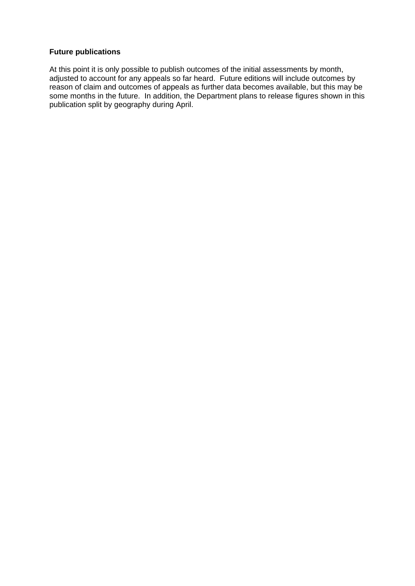# **Future publications**

At this point it is only possible to publish outcomes of the initial assessments by month, adjusted to account for any appeals so far heard. Future editions will include outcomes by reason of claim and outcomes of appeals as further data becomes available, but this may be some months in the future. In addition, the Department plans to release figures shown in this publication split by geography during April.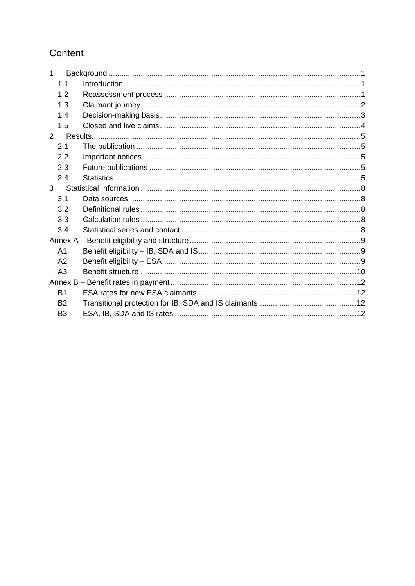# Content

| 1              |         |  |  |  |  |  |  |
|----------------|---------|--|--|--|--|--|--|
|                | 1.1     |  |  |  |  |  |  |
|                | 1.2     |  |  |  |  |  |  |
|                | 1.3     |  |  |  |  |  |  |
|                | 1.4     |  |  |  |  |  |  |
|                | 1.5     |  |  |  |  |  |  |
| $\overline{2}$ | Results |  |  |  |  |  |  |
| 2.1            |         |  |  |  |  |  |  |
|                | 2.2     |  |  |  |  |  |  |
|                | 2.3     |  |  |  |  |  |  |
|                | 2.4     |  |  |  |  |  |  |
| 3              |         |  |  |  |  |  |  |
|                | 3.1     |  |  |  |  |  |  |
|                | 3.2     |  |  |  |  |  |  |
|                | 3.3     |  |  |  |  |  |  |
|                | 3.4     |  |  |  |  |  |  |
|                |         |  |  |  |  |  |  |
| A1             |         |  |  |  |  |  |  |
| A2             |         |  |  |  |  |  |  |
| A <sub>3</sub> |         |  |  |  |  |  |  |
|                |         |  |  |  |  |  |  |
| B1             |         |  |  |  |  |  |  |
| <b>B2</b>      |         |  |  |  |  |  |  |
| B <sub>3</sub> |         |  |  |  |  |  |  |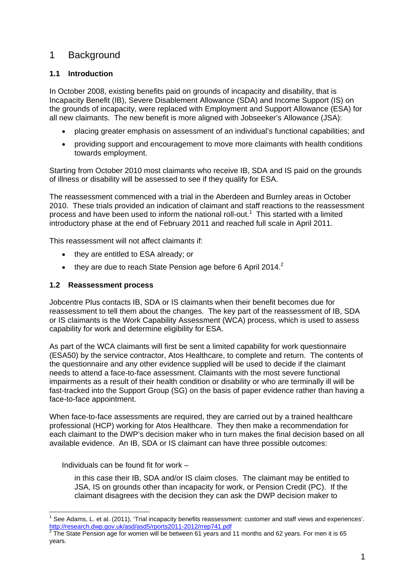# 1 Background

# **1.1 Introduction**

In October 2008, existing benefits paid on grounds of incapacity and disability, that is Incapacity Benefit (IB), Severe Disablement Allowance (SDA) and Income Support (IS) on the grounds of incapacity, were replaced with Employment and Support Allowance (ESA) for all new claimants. The new benefit is more aligned with Jobseeker's Allowance (JSA):

- placing greater emphasis on assessment of an individual's functional capabilities; and
- providing support and encouragement to move more claimants with health conditions towards employment.

Starting from October 2010 most claimants who receive IB, SDA and IS paid on the grounds of illness or disability will be assessed to see if they qualify for ESA.

The reassessment commenced with a trial in the Aberdeen and Burnley areas in October 2010. These trials provided an indication of claimant and staff reactions to the reassessment process and have been used to inform the national roll-out.<sup>1</sup> This started with a limited introductory phase at the end of February 2011 and reached full scale in April 2011.

This reassessment will not affect claimants if:

- they are entitled to ESA already; or
- $\bullet$  they are due to reach State Pension age before 6 April 2014.<sup>2</sup>

### **1.2 Reassessment process**

Jobcentre Plus contacts IB, SDA or IS claimants when their benefit becomes due for reassessment to tell them about the changes. The key part of the reassessment of IB, SDA or IS claimants is the Work Capability Assessment (WCA) process, which is used to assess capability for work and determine eligibility for ESA.

As part of the WCA claimants will first be sent a limited capability for work questionnaire (ESA50) by the service contractor, Atos Healthcare, to complete and return. The contents of the questionnaire and any other evidence supplied will be used to decide if the claimant needs to attend a face-to-face assessment. Claimants with the most severe functional impairments as a result of their health condition or disability or who are terminally ill will be fast-tracked into the Support Group (SG) on the basis of paper evidence rather than having a face-to-face appointment.

When face-to-face assessments are required, they are carried out by a trained healthcare professional (HCP) working for Atos Healthcare. They then make a recommendation for each claimant to the DWP's decision maker who in turn makes the final decision based on all available evidence. An IB, SDA or IS claimant can have three possible outcomes:

Individuals can be found fit for work –

in this case their IB, SDA and/or IS claim closes. The claimant may be entitled to JSA, IS on grounds other than incapacity for work, or Pension Credit (PC). If the claimant disagrees with the decision they can ask the DWP decision maker to

<sup>1</sup>  $1$  See Adams, L. et al. (2011), 'Trial incapacity benefits reassessment: customer and staff views and experiences'. http://research.dwp.gov.uk/asd/asd5/rports2011-2012/rrep741.pdf 2

The State Pension age for women will be between 61 years and 11 months and 62 years. For men it is 65 years.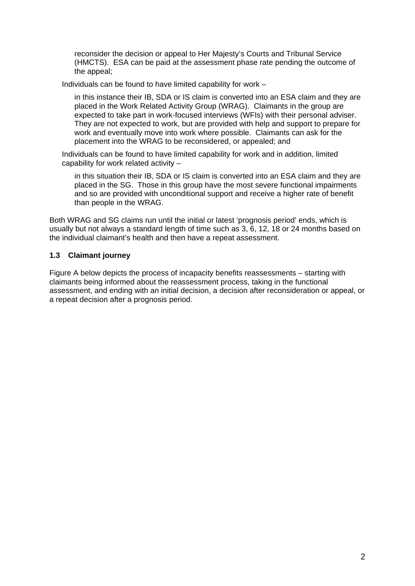reconsider the decision or appeal to Her Majesty's Courts and Tribunal Service (HMCTS). ESA can be paid at the assessment phase rate pending the outcome of the appeal;

Individuals can be found to have limited capability for work –

in this instance their IB, SDA or IS claim is converted into an ESA claim and they are placed in the Work Related Activity Group (WRAG). Claimants in the group are expected to take part in work-focused interviews (WFIs) with their personal adviser. They are not expected to work, but are provided with help and support to prepare for work and eventually move into work where possible. Claimants can ask for the placement into the WRAG to be reconsidered, or appealed; and

Individuals can be found to have limited capability for work and in addition, limited capability for work related activity –

in this situation their IB, SDA or IS claim is converted into an ESA claim and they are placed in the SG. Those in this group have the most severe functional impairments and so are provided with unconditional support and receive a higher rate of benefit than people in the WRAG.

Both WRAG and SG claims run until the initial or latest 'prognosis period' ends, which is usually but not always a standard length of time such as 3, 6, 12, 18 or 24 months based on the individual claimant's health and then have a repeat assessment.

### **1.3 Claimant journey**

Figure A below depicts the process of incapacity benefits reassessments – starting with claimants being informed about the reassessment process, taking in the functional assessment, and ending with an initial decision, a decision after reconsideration or appeal, or a repeat decision after a prognosis period.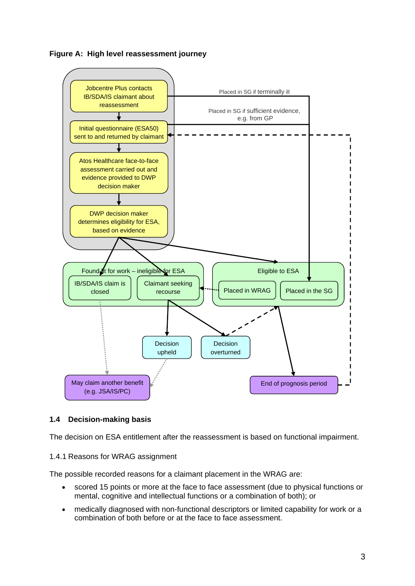



## **1.4 Decision-making basis**

The decision on ESA entitlement after the reassessment is based on functional impairment.

### 1.4.1 Reasons for WRAG assignment

The possible recorded reasons for a claimant placement in the WRAG are:

- scored 15 points or more at the face to face assessment (due to physical functions or mental, cognitive and intellectual functions or a combination of both); or
- medically diagnosed with non-functional descriptors or limited capability for work or a combination of both before or at the face to face assessment.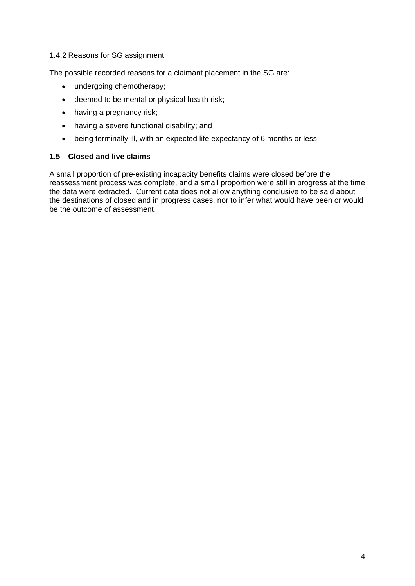### 1.4.2 Reasons for SG assignment

The possible recorded reasons for a claimant placement in the SG are:

- undergoing chemotherapy;
- deemed to be mental or physical health risk;
- having a pregnancy risk;
- having a severe functional disability; and
- being terminally ill, with an expected life expectancy of 6 months or less.

### **1.5 Closed and live claims**

A small proportion of pre-existing incapacity benefits claims were closed before the reassessment process was complete, and a small proportion were still in progress at the time the data were extracted. Current data does not allow anything conclusive to be said about the destinations of closed and in progress cases, nor to infer what would have been or would be the outcome of assessment.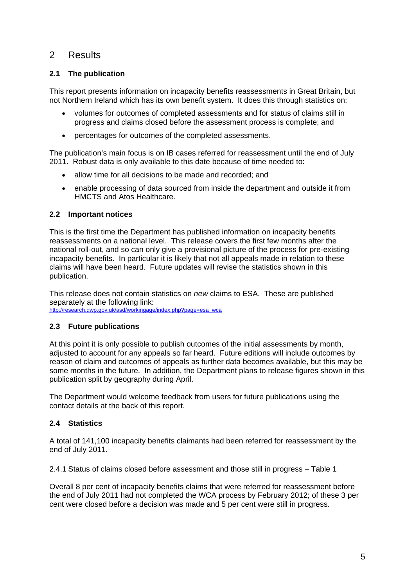# 2 Results

# **2.1 The publication**

This report presents information on incapacity benefits reassessments in Great Britain, but not Northern Ireland which has its own benefit system. It does this through statistics on:

- volumes for outcomes of completed assessments and for status of claims still in progress and claims closed before the assessment process is complete; and
- percentages for outcomes of the completed assessments.

The publication's main focus is on IB cases referred for reassessment until the end of July 2011. Robust data is only available to this date because of time needed to:

- allow time for all decisions to be made and recorded; and
- enable processing of data sourced from inside the department and outside it from HMCTS and Atos Healthcare.

## **2.2 Important notices**

This is the first time the Department has published information on incapacity benefits reassessments on a national level. This release covers the first few months after the national roll-out, and so can only give a provisional picture of the process for pre-existing incapacity benefits. In particular it is likely that not all appeals made in relation to these claims will have been heard. Future updates will revise the statistics shown in this publication.

This release does not contain statistics on *new* claims to ESA. These are published separately at the following link: http://research.dwp.gov.uk/asd/workingage/index.php?page=esa\_wca

## **2.3 Future publications**

At this point it is only possible to publish outcomes of the initial assessments by month, adjusted to account for any appeals so far heard. Future editions will include outcomes by reason of claim and outcomes of appeals as further data becomes available, but this may be some months in the future. In addition, the Department plans to release figures shown in this publication split by geography during April.

The Department would welcome feedback from users for future publications using the contact details at the back of this report.

## **2.4 Statistics**

A total of 141,100 incapacity benefits claimants had been referred for reassessment by the end of July 2011.

2.4.1 Status of claims closed before assessment and those still in progress – Table 1

Overall 8 per cent of incapacity benefits claims that were referred for reassessment before the end of July 2011 had not completed the WCA process by February 2012; of these 3 per cent were closed before a decision was made and 5 per cent were still in progress.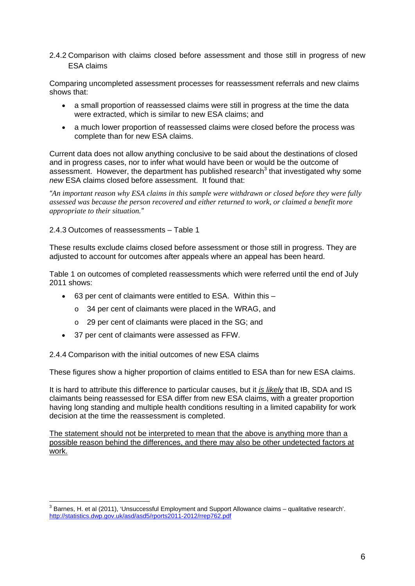### 2.4.2 Comparison with claims closed before assessment and those still in progress of new ESA claims

Comparing uncompleted assessment processes for reassessment referrals and new claims shows that:

- a small proportion of reassessed claims were still in progress at the time the data were extracted, which is similar to new ESA claims; and
- a much lower proportion of reassessed claims were closed before the process was complete than for new ESA claims.

Current data does not allow anything conclusive to be said about the destinations of closed and in progress cases, nor to infer what would have been or would be the outcome of assessment. However, the department has published research<sup>3</sup> that investigated why some *new* ESA claims closed before assessment. It found that:

*"An important reason why ESA claims in this sample were withdrawn or closed before they were fully assessed was because the person recovered and either returned to work, or claimed a benefit more appropriate to their situation."*

### 2.4.3 Outcomes of reassessments – Table 1

These results exclude claims closed before assessment or those still in progress. They are adjusted to account for outcomes after appeals where an appeal has been heard.

Table 1 on outcomes of completed reassessments which were referred until the end of July 2011 shows:

- 63 per cent of claimants were entitled to ESA. Within this
	- o 34 per cent of claimants were placed in the WRAG, and
	- o 29 per cent of claimants were placed in the SG; and
- 37 per cent of claimants were assessed as FFW.

2.4.4 Comparison with the initial outcomes of new ESA claims

These figures show a higher proportion of claims entitled to ESA than for new ESA claims.

It is hard to attribute this difference to particular causes, but it *is likely* that IB, SDA and IS claimants being reassessed for ESA differ from new ESA claims, with a greater proportion having long standing and multiple health conditions resulting in a limited capability for work decision at the time the reassessment is completed.

The statement should not be interpreted to mean that the above is anything more than a possible reason behind the differences, and there may also be other undetected factors at work.

 3 Barnes, H. et al (2011), 'Unsuccessful Employment and Support Allowance claims – qualitative research'. http://statistics.dwp.gov.uk/asd/asd5/rports2011-2012/rrep762.pdf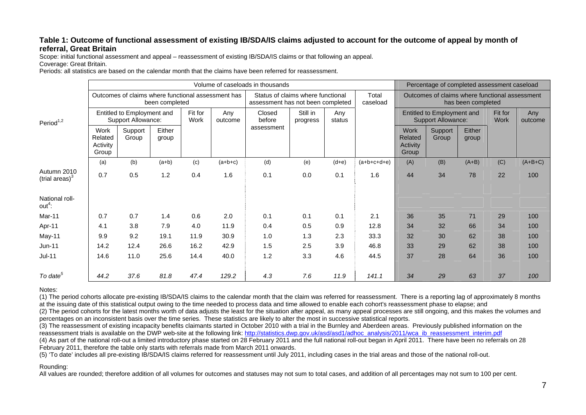### **Table 1: Outcome of functional assessment of existing IB/SDA/IS claims adjusted to account for the outcome of appeal by month of referral, Great Britain**

Scope: initial functional assessment and appeal – reassessment of existing IB/SDA/IS claims or that following an appeal. Coverage: Great Britain.

Periods: all statistics are based on the calendar month that the claims have been referred for reassessment.

|                                  | Volume of caseloads in thousands                                     |                  |                 |                 |                                                                        |                  |                      |                   |                                                                      | Percentage of completed assessment caseload             |                  |                 |                |           |
|----------------------------------|----------------------------------------------------------------------|------------------|-----------------|-----------------|------------------------------------------------------------------------|------------------|----------------------|-------------------|----------------------------------------------------------------------|---------------------------------------------------------|------------------|-----------------|----------------|-----------|
| Period $1,2$                     | Outcomes of claims where functional assessment has<br>been completed |                  |                 |                 | Status of claims where functional<br>assessment has not been completed |                  |                      | Total<br>caseload | Outcomes of claims where functional assessment<br>has been completed |                                                         |                  |                 |                |           |
|                                  | Entitled to Employment and<br>Support Allowance:                     |                  |                 | Fit for<br>Work | Any<br>outcome                                                         | Closed<br>before | Still in<br>progress | Any<br>status     |                                                                      | Entitled to Employment and<br><b>Support Allowance:</b> |                  | Fit for<br>Work | Any<br>outcome |           |
|                                  | Work<br>Related<br>Activity<br>Group                                 | Support<br>Group | Either<br>group |                 |                                                                        | assessment       |                      |                   |                                                                      | <b>Work</b><br>Related<br>Activity<br>Group             | Support<br>Group | Either<br>group |                |           |
|                                  | (a)                                                                  | (b)              | $(a+b)$         | (c)             | $(a+b+c)$                                                              | (d)              | (e)                  | $(d+e)$           | $(a+b+c+d+e)$                                                        | (A)                                                     | (B)              | $(A+B)$         | (C)            | $(A+B+C)$ |
| Autumn 2010<br>(trial areas) $3$ | 0.7                                                                  | 0.5              | 1.2             | 0.4             | 1.6                                                                    | 0.1              | 0.0                  | 0.1               | 1.6                                                                  | 44                                                      | 34               | 78              | 22             | 100       |
| National roll-<br>$out4$ :       |                                                                      |                  |                 |                 |                                                                        |                  |                      |                   |                                                                      |                                                         |                  |                 |                |           |
| Mar-11                           | 0.7                                                                  | 0.7              | 1.4             | 0.6             | 2.0                                                                    | 0.1              | 0.1                  | 0.1               | 2.1                                                                  | 36                                                      | 35               | 71              | 29             | 100       |
| Apr-11                           | 4.1                                                                  | 3.8              | 7.9             | 4.0             | 11.9                                                                   | 0.4              | 0.5                  | 0.9               | 12.8                                                                 | 34                                                      | 32               | 66              | 34             | 100       |
| May-11                           | 9.9                                                                  | 9.2              | 19.1            | 11.9            | 30.9                                                                   | 1.0              | 1.3                  | 2.3               | 33.3                                                                 | 32                                                      | 30               | 62              | 38             | 100       |
| Jun-11                           | 14.2                                                                 | 12.4             | 26.6            | 16.2            | 42.9                                                                   | 1.5              | 2.5                  | 3.9               | 46.8                                                                 | 33                                                      | 29               | 62              | 38             | 100       |
| $Jul-11$                         | 14.6                                                                 | 11.0             | 25.6            | 14.4            | 40.0                                                                   | 1.2              | 3.3                  | 4.6               | 44.5                                                                 | 37                                                      | 28               | 64              | 36             | 100       |
| To date <sup>5</sup>             | 44.2                                                                 | 37.6             | 81.8            | 47.4            | 129.2                                                                  | 4.3              | 7.6                  | 11.9              | 141.1                                                                | 34                                                      | 29               | 63              | 37             | 100       |

#### Notes:

(1) The period cohorts allocate pre-existing IB/SDA/IS claims to the calendar month that the claim was referred for reassessment. There is a reporting lag of approximately 8 months at the issuing date of this statistical output owing to the time needed to process data and time allowed to enable each cohort's reassessment phase to elapse; and

(2) The period cohorts for the latest months worth of data adjusts the least for the situation after appeal, as many appeal processes are still ongoing, and this makes the volumes and percentages on an inconsistent basis over the time series. These statistics are likely to alter the most in successive statistical reports.

(3) The reassessment of existing incapacity benefits claimants started in October 2010 with a trial in the Burnley and Aberdeen areas. Previously published information on the reassessment trials is available on the DWP web-site at the following link: http://statistics.dwp.gov.uk/asd/asd1/adhoc\_analysis/2011/wca\_ib\_reassessment\_interim.pdf

(4) As part of the national roll-out a limited introductory phase started on 28 February 2011 and the full national roll-out began in April 2011. There have been no referrals on 28 February 2011, therefore the table only starts with referrals made from March 2011 onwards.

(5) 'To date' includes all pre-existing IB/SDA/IS claims referred for reassessment until July 2011, including cases in the trial areas and those of the national roll-out.

#### Rounding:

All values are rounded; therefore addition of all volumes for outcomes and statuses may not sum to total cases, and addition of all percentages may not sum to 100 per cent.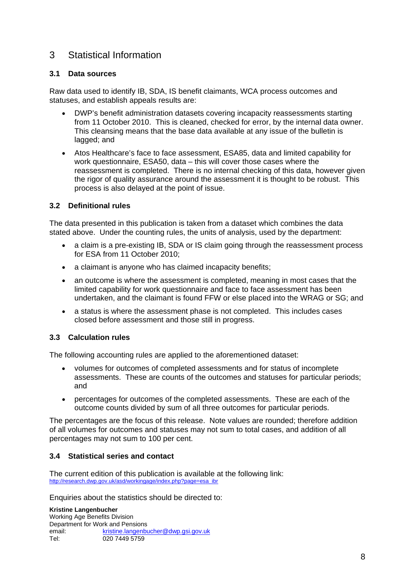# 3 Statistical Information

## **3.1 Data sources**

Raw data used to identify IB, SDA, IS benefit claimants, WCA process outcomes and statuses, and establish appeals results are:

- DWP's benefit administration datasets covering incapacity reassessments starting from 11 October 2010. This is cleaned, checked for error, by the internal data owner. This cleansing means that the base data available at any issue of the bulletin is lagged; and
- Atos Healthcare's face to face assessment, ESA85, data and limited capability for work questionnaire, ESA50, data – this will cover those cases where the reassessment is completed. There is no internal checking of this data, however given the rigor of quality assurance around the assessment it is thought to be robust. This process is also delayed at the point of issue.

# **3.2 Definitional rules**

The data presented in this publication is taken from a dataset which combines the data stated above. Under the counting rules, the units of analysis, used by the department:

- a claim is a pre-existing IB, SDA or IS claim going through the reassessment process for ESA from 11 October 2010;
- a claimant is anyone who has claimed incapacity benefits;
- an outcome is where the assessment is completed, meaning in most cases that the limited capability for work questionnaire and face to face assessment has been undertaken, and the claimant is found FFW or else placed into the WRAG or SG; and
- a status is where the assessment phase is not completed. This includes cases closed before assessment and those still in progress.

## **3.3 Calculation rules**

The following accounting rules are applied to the aforementioned dataset:

- volumes for outcomes of completed assessments and for status of incomplete assessments. These are counts of the outcomes and statuses for particular periods; and
- percentages for outcomes of the completed assessments. These are each of the outcome counts divided by sum of all three outcomes for particular periods.

The percentages are the focus of this release. Note values are rounded; therefore addition of all volumes for outcomes and statuses may not sum to total cases, and addition of all percentages may not sum to 100 per cent.

## **3.4 Statistical series and contact**

The current edition of this publication is available at the following link: http://research.dwp.gov.uk/asd/workingage/index.php?page=esa\_ibr

Enquiries about the statistics should be directed to:

**Kristine Langenbucher**  Working Age Benefits Division Department for Work and Pensions email: kristine.langenbucher@dwp.gsi.gov.uk Tel: 020 7449 5759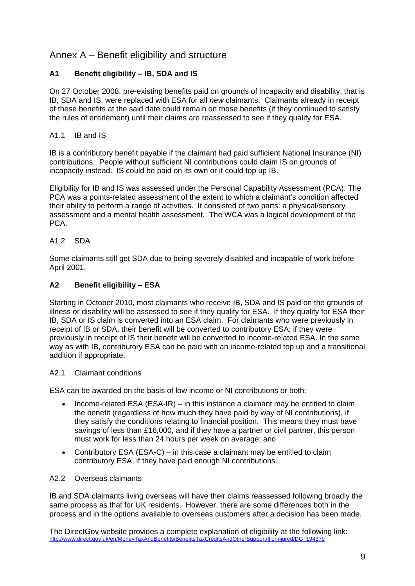# Annex A – Benefit eligibility and structure

# **A1 Benefit eligibility – IB, SDA and IS**

On 27 October 2008, pre-existing benefits paid on grounds of incapacity and disability, that is IB, SDA and IS, were replaced with ESA for all *new* claimants. Claimants already in receipt of these benefits at the said date could remain on those benefits (if they continued to satisfy the rules of entitlement) until their claims are reassessed to see if they qualify for ESA.

### A1.1 IB and IS

IB is a contributory benefit payable if the claimant had paid sufficient National Insurance (NI) contributions. People without sufficient NI contributions could claim IS on grounds of incapacity instead. IS could be paid on its own or it could top up IB.

Eligibility for IB and IS was assessed under the Personal Capability Assessment (PCA). The PCA was a points-related assessment of the extent to which a claimant's condition affected their ability to perform a range of activities. It consisted of two parts: a physical/sensory assessment and a mental health assessment. The WCA was a logical development of the PCA.

### A1.2 SDA

Some claimants still get SDA due to being severely disabled and incapable of work before April 2001.

## **A2 Benefit eligibility – ESA**

Starting in October 2010, most claimants who receive IB, SDA and IS paid on the grounds of illness or disability will be assessed to see if they qualify for ESA. If they qualify for ESA their IB, SDA or IS claim is converted into an ESA claim. For claimants who were previously in receipt of IB or SDA, their benefit will be converted to contributory ESA; if they were previously in receipt of IS their benefit will be converted to income-related ESA. In the same way as with IB, contributory ESA can be paid with an income-related top up and a transitional addition if appropriate.

### A2.1 Claimant conditions

ESA can be awarded on the basis of low income or NI contributions or both:

- Income-related ESA (ESA-IR) in this instance a claimant may be entitled to claim the benefit (regardless of how much they have paid by way of NI contributions), if they satisfy the conditions relating to financial position. This means they must have savings of less than £16,000, and if they have a partner or civil partner, this person must work for less than 24 hours per week on average; and
- Contributory ESA (ESA-C) in this case a claimant may be entitled to claim contributory ESA, if they have paid enough NI contributions.

### A2.2 Overseas claimants

IB and SDA claimants living overseas will have their claims reassessed following broadly the same process as that for UK residents. However, there are some differences both in the process and in the options available to overseas customers after a decision has been made.

The DirectGov website provides a complete explanation of eligibility at the following link: http://www.direct.gov.uk/en/MoneyTaxAndBenefits/BenefitsTaxCreditsAndOtherSupport/Illorinjured/DG\_194379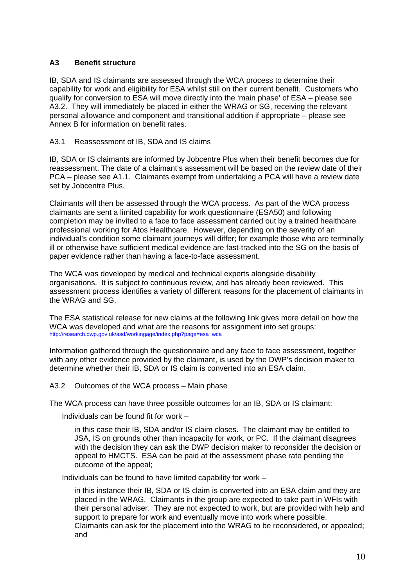## **A3 Benefit structure**

IB, SDA and IS claimants are assessed through the WCA process to determine their capability for work and eligibility for ESA whilst still on their current benefit. Customers who qualify for conversion to ESA will move directly into the 'main phase' of ESA – please see A3.2. They will immediately be placed in either the WRAG or SG, receiving the relevant personal allowance and component and transitional addition if appropriate – please see Annex B for information on benefit rates.

### A3.1 Reassessment of IB, SDA and IS claims

IB, SDA or IS claimants are informed by Jobcentre Plus when their benefit becomes due for reassessment. The date of a claimant's assessment will be based on the review date of their PCA – please see A1.1. Claimants exempt from undertaking a PCA will have a review date set by Jobcentre Plus.

Claimants will then be assessed through the WCA process. As part of the WCA process claimants are sent a limited capability for work questionnaire (ESA50) and following completion may be invited to a face to face assessment carried out by a trained healthcare professional working for Atos Healthcare. However, depending on the severity of an individual's condition some claimant journeys will differ; for example those who are terminally ill or otherwise have sufficient medical evidence are fast-tracked into the SG on the basis of paper evidence rather than having a face-to-face assessment.

The WCA was developed by medical and technical experts alongside disability organisations. It is subject to continuous review, and has already been reviewed. This assessment process identifies a variety of different reasons for the placement of claimants in the WRAG and SG.

The ESA statistical release for new claims at the following link gives more detail on how the WCA was developed and what are the reasons for assignment into set groups: http://research.dwp.gov.uk/asd/workingage/index.php?page=esa\_wca

Information gathered through the questionnaire and any face to face assessment, together with any other evidence provided by the claimant, is used by the DWP's decision maker to determine whether their IB, SDA or IS claim is converted into an ESA claim.

A3.2 Outcomes of the WCA process – Main phase

The WCA process can have three possible outcomes for an IB, SDA or IS claimant:

Individuals can be found fit for work –

in this case their IB, SDA and/or IS claim closes. The claimant may be entitled to JSA, IS on grounds other than incapacity for work, or PC. If the claimant disagrees with the decision they can ask the DWP decision maker to reconsider the decision or appeal to HMCTS. ESA can be paid at the assessment phase rate pending the outcome of the appeal;

Individuals can be found to have limited capability for work –

in this instance their IB, SDA or IS claim is converted into an ESA claim and they are placed in the WRAG. Claimants in the group are expected to take part in WFIs with their personal adviser. They are not expected to work, but are provided with help and support to prepare for work and eventually move into work where possible. Claimants can ask for the placement into the WRAG to be reconsidered, or appealed; and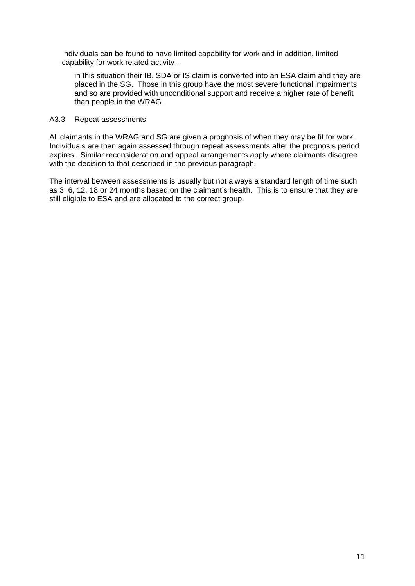Individuals can be found to have limited capability for work and in addition, limited capability for work related activity –

in this situation their IB, SDA or IS claim is converted into an ESA claim and they are placed in the SG. Those in this group have the most severe functional impairments and so are provided with unconditional support and receive a higher rate of benefit than people in the WRAG.

### A3.3 Repeat assessments

All claimants in the WRAG and SG are given a prognosis of when they may be fit for work. Individuals are then again assessed through repeat assessments after the prognosis period expires. Similar reconsideration and appeal arrangements apply where claimants disagree with the decision to that described in the previous paragraph.

The interval between assessments is usually but not always a standard length of time such as 3, 6, 12, 18 or 24 months based on the claimant's health. This is to ensure that they are still eligible to ESA and are allocated to the correct group.